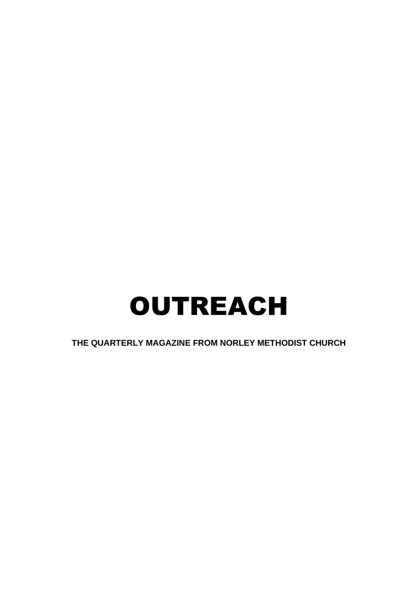# OUTREACH

**THE QUARTERLY MAGAZINE FROM NORLEY METHODIST CHURCH**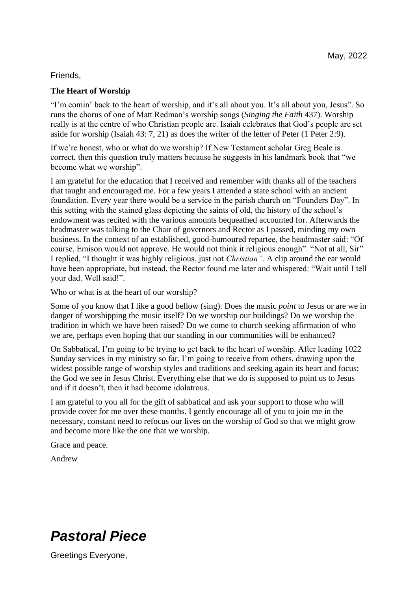#### Friends,

#### **The Heart of Worship**

"I'm comin' back to the heart of worship, and it's all about you. It's all about you, Jesus". So runs the chorus of one of Matt Redman's worship songs (*Singing the Faith* 437). Worship really is at the centre of who Christian people are. Isaiah celebrates that God's people are set aside for worship (Isaiah 43: 7, 21) as does the writer of the letter of Peter (1 Peter 2:9).

If we're honest, who or what do we worship? If New Testament scholar Greg Beale is correct, then this question truly matters because he suggests in his landmark book that "we become what we worship".

I am grateful for the education that I received and remember with thanks all of the teachers that taught and encouraged me. For a few years I attended a state school with an ancient foundation. Every year there would be a service in the parish church on "Founders Day". In this setting with the stained glass depicting the saints of old, the history of the school's endowment was recited with the various amounts bequeathed accounted for. Afterwards the headmaster was talking to the Chair of governors and Rector as I passed, minding my own business. In the context of an established, good-humoured repartee, the headmaster said: "Of course, Emison would not approve. He would not think it religious enough". "Not at all, Sir" I replied, "I thought it was highly religious, just not *Christian".* A clip around the ear would have been appropriate, but instead, the Rector found me later and whispered: "Wait until I tell your dad. Well said!".

Who or what is at the heart of our worship?

Some of you know that I like a good bellow (sing). Does the music *point* to Jesus or are we in danger of worshipping the music itself? Do we worship our buildings? Do we worship the tradition in which we have been raised? Do we come to church seeking affirmation of who we are, perhaps even hoping that our standing in our communities will be enhanced?

On Sabbatical, I'm going to be trying to get back to the heart of worship. After leading 1022 Sunday services in my ministry so far, I'm going to receive from others, drawing upon the widest possible range of worship styles and traditions and seeking again its heart and focus: the God we see in Jesus Christ. Everything else that we do is supposed to point us to Jesus and if it doesn't, then it had become idolatrous.

I am grateful to you all for the gift of sabbatical and ask your support to those who will provide cover for me over these months. I gently encourage all of you to join me in the necessary, constant need to refocus our lives on the worship of God so that we might grow and become more like the one that we worship.

Grace and peace.

Andrew

### *Pastoral Piece*

Greetings Everyone,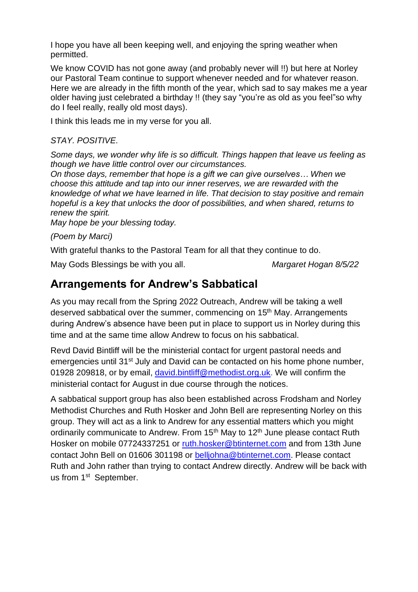I hope you have all been keeping well, and enjoying the spring weather when permitted.

We know COVID has not gone away (and probably never will !!) but here at Norley our Pastoral Team continue to support whenever needed and for whatever reason. Here we are already in the fifth month of the year, which sad to say makes me a year older having just celebrated a birthday !! (they say "you're as old as you feel"so why do I feel really, really old most days).

I think this leads me in my verse for you all.

### *STAY. POSITIVE.*

*Some days, we wonder why life is so difficult. Things happen that leave us feeling as though we have little control over our circumstances.*

*On those days, remember that hope is a gift we can give ourselves… When we choose this attitude and tap into our inner reserves, we are rewarded with the knowledge of what we have learned in life. That decision to stay positive and remain hopeful is a key that unlocks the door of possibilities, and when shared, returns to renew the spirit.* 

*May hope be your blessing today.*

*(Poem by Marci)*

With grateful thanks to the Pastoral Team for all that they continue to do.

May Gods Blessings be with you all. *Margaret Hogan 8/5/22*

### **Arrangements for Andrew's Sabbatical**

As you may recall from the Spring 2022 Outreach, Andrew will be taking a well deserved sabbatical over the summer, commencing on 15<sup>th</sup> May. Arrangements during Andrew's absence have been put in place to support us in Norley during this time and at the same time allow Andrew to focus on his sabbatical.

Revd David Bintliff will be the ministerial contact for urgent pastoral needs and emergencies until 31<sup>st</sup> July and David can be contacted on his home phone number, 01928 209818, or by email, [david.bintliff@methodist.org.uk.](mailto:david.bintliff@methodist.org.uk) We will confirm the ministerial contact for August in due course through the notices.

A sabbatical support group has also been established across Frodsham and Norley Methodist Churches and Ruth Hosker and John Bell are representing Norley on this group. They will act as a link to Andrew for any essential matters which you might ordinarily communicate to Andrew. From  $15<sup>th</sup>$  May to  $12<sup>th</sup>$  June please contact Ruth Hosker on mobile 07724337251 or [ruth.hosker@btinternet.com](mailto:ruth.hosker@btinternet.com) and from 13th June contact John Bell on 01606 301198 or [belljohna@btinternet.com.](mailto:belljohna@btinternet.com) Please contact Ruth and John rather than trying to contact Andrew directly. Andrew will be back with us from 1<sup>st</sup> September.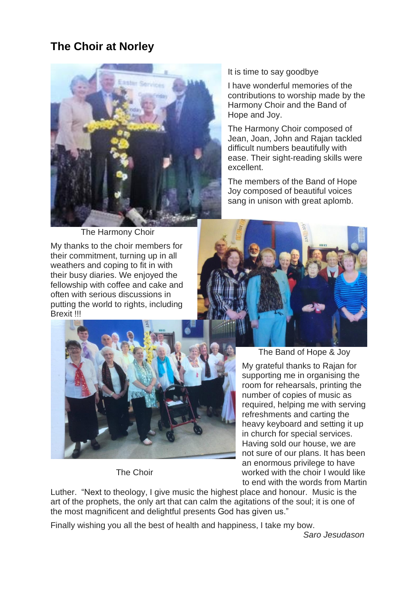### **The Choir at Norley**



The Harmony Choir

My thanks to the choir members for their commitment, turning up in all weathers and coping to fit in with their busy diaries. We enjoyed the fellowship with coffee and cake and often with serious discussions in putting the world to rights, including Brexit !!!



It is time to say goodbye

I have wonderful memories of the contributions to worship made by the Harmony Choir and the Band of Hope and Joy.

The Harmony Choir composed of Jean, Joan, John and Rajan tackled difficult numbers beautifully with ease. Their sight-reading skills were excellent.

The members of the Band of Hope Joy composed of beautiful voices sang in unison with great aplomb.



The Band of Hope & Joy

My grateful thanks to Rajan for supporting me in organising the room for rehearsals, printing the number of copies of music as required, helping me with serving refreshments and carting the heavy keyboard and setting it up in church for special services. Having sold our house, we are not sure of our plans. It has been an enormous privilege to have The Choir worked with the choir I would like to end with the words from Martin

Luther. "Next to theology, I give music the highest place and honour. Music is the art of the prophets, the only art that can calm the agitations of the soul; it is one of the most magnificent and delightful presents God has given us."

Finally wishing you all the best of health and happiness, I take my bow.

 *Saro Jesudason*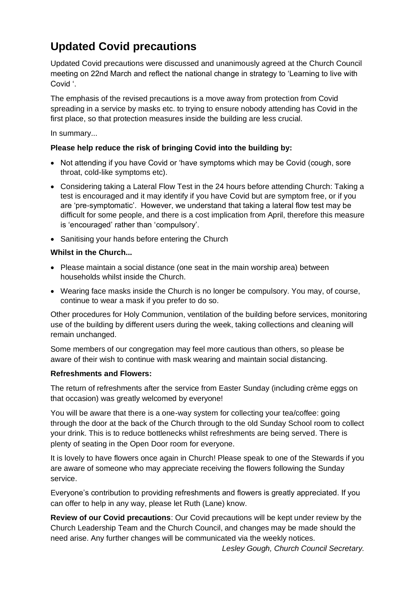### **Updated Covid precautions**

Updated Covid precautions were discussed and unanimously agreed at the Church Council meeting on 22nd March and reflect the national change in strategy to 'Learning to live with Covid '.

The emphasis of the revised precautions is a move away from protection from Covid spreading in a service by masks etc. to trying to ensure nobody attending has Covid in the first place, so that protection measures inside the building are less crucial.

In summary...

#### **Please help reduce the risk of bringing Covid into the building by:**

- Not attending if you have Covid or 'have symptoms which may be Covid (cough, sore throat, cold-like symptoms etc).
- Considering taking a Lateral Flow Test in the 24 hours before attending Church: Taking a test is encouraged and it may identify if you have Covid but are symptom free, or if you are 'pre-symptomatic'. However, we understand that taking a lateral flow test may be difficult for some people, and there is a cost implication from April, therefore this measure is 'encouraged' rather than 'compulsory'.
- Sanitising your hands before entering the Church

#### **Whilst in the Church...**

- Please maintain a social distance (one seat in the main worship area) between households whilst inside the Church.
- Wearing face masks inside the Church is no longer be compulsory. You may, of course, continue to wear a mask if you prefer to do so.

Other procedures for Holy Communion, ventilation of the building before services, monitoring use of the building by different users during the week, taking collections and cleaning will remain unchanged.

Some members of our congregation may feel more cautious than others, so please be aware of their wish to continue with mask wearing and maintain social distancing.

#### **Refreshments and Flowers:**

The return of refreshments after the service from Easter Sunday (including crème eggs on that occasion) was greatly welcomed by everyone!

You will be aware that there is a one-way system for collecting your tea/coffee: going through the door at the back of the Church through to the old Sunday School room to collect your drink. This is to reduce bottlenecks whilst refreshments are being served. There is plenty of seating in the Open Door room for everyone.

It is lovely to have flowers once again in Church! Please speak to one of the Stewards if you are aware of someone who may appreciate receiving the flowers following the Sunday service.

Everyone's contribution to providing refreshments and flowers is greatly appreciated. If you can offer to help in any way, please let Ruth (Lane) know.

**Review of our Covid precautions**: Our Covid precautions will be kept under review by the Church Leadership Team and the Church Council, and changes may be made should the need arise. Any further changes will be communicated via the weekly notices.

 *Lesley Gough, Church Council Secretary.*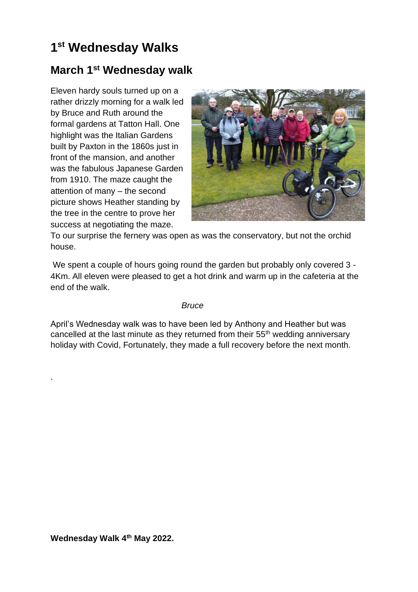### **1 st Wednesday Walks**

### **March 1st Wednesday walk**

Eleven hardy souls turned up on a rather drizzly morning for a walk led by Bruce and Ruth around the formal gardens at Tatton Hall. One highlight was the Italian Gardens built by Paxton in the 1860s just in front of the mansion, and another was the fabulous Japanese Garden from 1910. The maze caught the attention of many – the second picture shows Heather standing by the tree in the centre to prove her success at negotiating the maze.



To our surprise the fernery was open as was the conservatory, but not the orchid house.

We spent a couple of hours going round the garden but probably only covered 3 -4Km. All eleven were pleased to get a hot drink and warm up in the cafeteria at the end of the walk.

#### *Bruce*

April's Wednesday walk was to have been led by Anthony and Heather but was cancelled at the last minute as they returned from their 55th wedding anniversary holiday with Covid, Fortunately, they made a full recovery before the next month.

.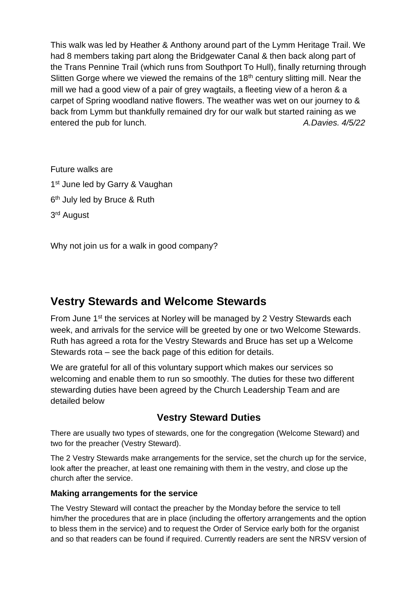This walk was led by Heather & Anthony around part of the Lymm Heritage Trail. We had 8 members taking part along the Bridgewater Canal & then back along part of the Trans Pennine Trail (which runs from Southport To Hull), finally returning through Slitten Gorge where we viewed the remains of the  $18<sup>th</sup>$  century slitting mill. Near the mill we had a good view of a pair of grey wagtails, a fleeting view of a heron & a carpet of Spring woodland native flowers. The weather was wet on our journey to & back from Lymm but thankfully remained dry for our walk but started raining as we entered the pub for lunch*. A.Davies. 4/5/22*

Future walks are 1<sup>st</sup> June led by Garry & Vaughan 6<sup>th</sup> July led by Bruce & Ruth 3<sup>rd</sup> August

Why not join us for a walk in good company?

### **Vestry Stewards and Welcome Stewards**

From June 1<sup>st</sup> the services at Norley will be managed by 2 Vestry Stewards each week, and arrivals for the service will be greeted by one or two Welcome Stewards. Ruth has agreed a rota for the Vestry Stewards and Bruce has set up a Welcome Stewards rota – see the back page of this edition for details.

We are grateful for all of this voluntary support which makes our services so welcoming and enable them to run so smoothly. The duties for these two different stewarding duties have been agreed by the Church Leadership Team and are detailed below

### **Vestry Steward Duties**

There are usually two types of stewards, one for the congregation (Welcome Steward) and two for the preacher (Vestry Steward).

The 2 Vestry Stewards make arrangements for the service, set the church up for the service, look after the preacher, at least one remaining with them in the vestry, and close up the church after the service.

### **Making arrangements for the service**

The Vestry Steward will contact the preacher by the Monday before the service to tell him/her the procedures that are in place (including the offertory arrangements and the option to bless them in the service) and to request the Order of Service early both for the organist and so that readers can be found if required. Currently readers are sent the NRSV version of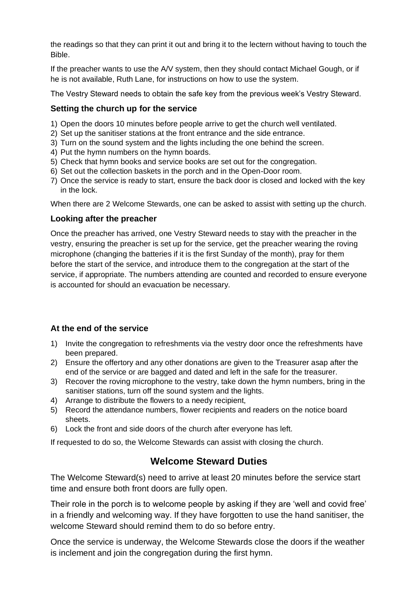the readings so that they can print it out and bring it to the lectern without having to touch the Bible.

If the preacher wants to use the A/V system, then they should contact Michael Gough, or if he is not available, Ruth Lane, for instructions on how to use the system.

The Vestry Steward needs to obtain the safe key from the previous week's Vestry Steward.

### **Setting the church up for the service**

- 1) Open the doors 10 minutes before people arrive to get the church well ventilated.
- 2) Set up the sanitiser stations at the front entrance and the side entrance.
- 3) Turn on the sound system and the lights including the one behind the screen.
- 4) Put the hymn numbers on the hymn boards.
- 5) Check that hymn books and service books are set out for the congregation.
- 6) Set out the collection baskets in the porch and in the Open-Door room.
- 7) Once the service is ready to start, ensure the back door is closed and locked with the key in the lock.

When there are 2 Welcome Stewards, one can be asked to assist with setting up the church.

#### **Looking after the preacher**

Once the preacher has arrived, one Vestry Steward needs to stay with the preacher in the vestry, ensuring the preacher is set up for the service, get the preacher wearing the roving microphone (changing the batteries if it is the first Sunday of the month), pray for them before the start of the service, and introduce them to the congregation at the start of the service, if appropriate. The numbers attending are counted and recorded to ensure everyone is accounted for should an evacuation be necessary.

### **At the end of the service**

- 1) Invite the congregation to refreshments via the vestry door once the refreshments have been prepared.
- 2) Ensure the offertory and any other donations are given to the Treasurer asap after the end of the service or are bagged and dated and left in the safe for the treasurer.
- 3) Recover the roving microphone to the vestry, take down the hymn numbers, bring in the sanitiser stations, turn off the sound system and the lights.
- 4) Arrange to distribute the flowers to a needy recipient,
- 5) Record the attendance numbers, flower recipients and readers on the notice board sheets.
- 6) Lock the front and side doors of the church after everyone has left.

If requested to do so, the Welcome Stewards can assist with closing the church.

### **Welcome Steward Duties**

The Welcome Steward(s) need to arrive at least 20 minutes before the service start time and ensure both front doors are fully open.

Their role in the porch is to welcome people by asking if they are 'well and covid free' in a friendly and welcoming way. If they have forgotten to use the hand sanitiser, the welcome Steward should remind them to do so before entry.

Once the service is underway, the Welcome Stewards close the doors if the weather is inclement and join the congregation during the first hymn.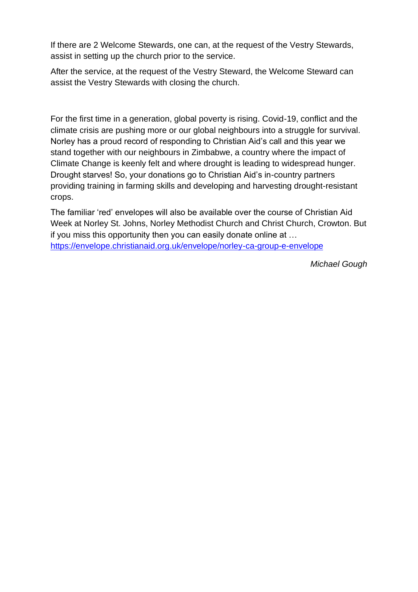If there are 2 Welcome Stewards, one can, at the request of the Vestry Stewards, assist in setting up the church prior to the service.

After the service, at the request of the Vestry Steward, the Welcome Steward can assist the Vestry Stewards with closing the church.

For the first time in a generation, global poverty is rising. Covid-19, conflict and the climate crisis are pushing more or our global neighbours into a struggle for survival. Norley has a proud record of responding to Christian Aid's call and this year we stand together with our neighbours in Zimbabwe, a country where the impact of Climate Change is keenly felt and where drought is leading to widespread hunger. Drought starves! So, your donations go to Christian Aid's in-country partners providing training in farming skills and developing and harvesting drought-resistant crops.

The familiar 'red' envelopes will also be available over the course of Christian Aid Week at Norley St. Johns, Norley Methodist Church and Christ Church, Crowton. But if you miss this opportunity then you can easily donate online at … <https://envelope.christianaid.org.uk/envelope/norley-ca-group-e-envelope>

*Michael Gough*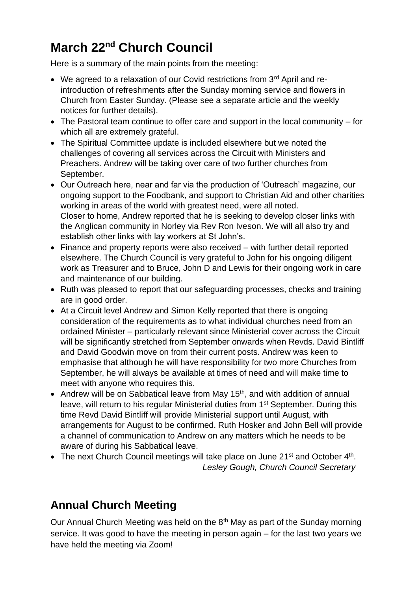### **March 22nd Church Council**

Here is a summary of the main points from the meeting:

- We agreed to a relaxation of our Covid restrictions from 3<sup>rd</sup> April and reintroduction of refreshments after the Sunday morning service and flowers in Church from Easter Sunday. (Please see a separate article and the weekly notices for further details).
- The Pastoral team continue to offer care and support in the local community for which all are extremely grateful.
- The Spiritual Committee update is included elsewhere but we noted the challenges of covering all services across the Circuit with Ministers and Preachers. Andrew will be taking over care of two further churches from September.
- Our Outreach here, near and far via the production of 'Outreach' magazine, our ongoing support to the Foodbank, and support to Christian Aid and other charities working in areas of the world with greatest need, were all noted. Closer to home, Andrew reported that he is seeking to develop closer links with the Anglican community in Norley via Rev Ron Iveson. We will all also try and establish other links with lay workers at St John's.
- Finance and property reports were also received with further detail reported elsewhere. The Church Council is very grateful to John for his ongoing diligent work as Treasurer and to Bruce, John D and Lewis for their ongoing work in care and maintenance of our building.
- Ruth was pleased to report that our safeguarding processes, checks and training are in good order.
- At a Circuit level Andrew and Simon Kelly reported that there is ongoing consideration of the requirements as to what individual churches need from an ordained Minister – particularly relevant since Ministerial cover across the Circuit will be significantly stretched from September onwards when Revds. David Bintliff and David Goodwin move on from their current posts. Andrew was keen to emphasise that although he will have responsibility for two more Churches from September, he will always be available at times of need and will make time to meet with anyone who requires this.
- Andrew will be on Sabbatical leave from May  $15<sup>th</sup>$ , and with addition of annual leave, will return to his regular Ministerial duties from 1<sup>st</sup> September. During this time Revd David Bintliff will provide Ministerial support until August, with arrangements for August to be confirmed. Ruth Hosker and John Bell will provide a channel of communication to Andrew on any matters which he needs to be aware of during his Sabbatical leave.
- The next Church Council meetings will take place on June 21<sup>st</sup> and October 4<sup>th</sup>.  *Lesley Gough, Church Council Secretary*

### **Annual Church Meeting**

Our Annual Church Meeting was held on the 8<sup>th</sup> May as part of the Sunday morning service. It was good to have the meeting in person again – for the last two years we have held the meeting via Zoom!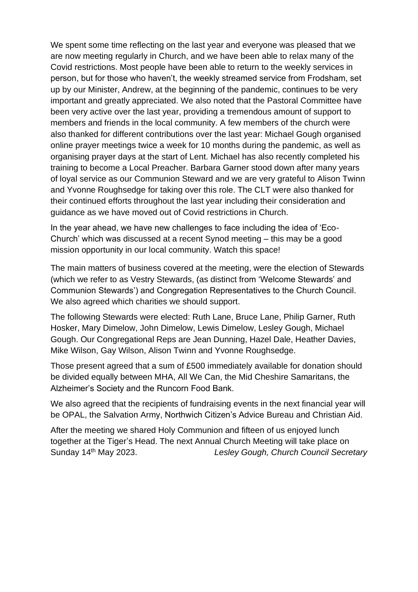We spent some time reflecting on the last year and everyone was pleased that we are now meeting regularly in Church, and we have been able to relax many of the Covid restrictions. Most people have been able to return to the weekly services in person, but for those who haven't, the weekly streamed service from Frodsham, set up by our Minister, Andrew, at the beginning of the pandemic, continues to be very important and greatly appreciated. We also noted that the Pastoral Committee have been very active over the last year, providing a tremendous amount of support to members and friends in the local community. A few members of the church were also thanked for different contributions over the last year: Michael Gough organised online prayer meetings twice a week for 10 months during the pandemic, as well as organising prayer days at the start of Lent. Michael has also recently completed his training to become a Local Preacher. Barbara Garner stood down after many years of loyal service as our Communion Steward and we are very grateful to Alison Twinn and Yvonne Roughsedge for taking over this role. The CLT were also thanked for their continued efforts throughout the last year including their consideration and guidance as we have moved out of Covid restrictions in Church.

In the year ahead, we have new challenges to face including the idea of 'Eco-Church' which was discussed at a recent Synod meeting – this may be a good mission opportunity in our local community. Watch this space!

The main matters of business covered at the meeting, were the election of Stewards (which we refer to as Vestry Stewards, (as distinct from 'Welcome Stewards' and Communion Stewards') and Congregation Representatives to the Church Council. We also agreed which charities we should support.

The following Stewards were elected: Ruth Lane, Bruce Lane, Philip Garner, Ruth Hosker, Mary Dimelow, John Dimelow, Lewis Dimelow, Lesley Gough, Michael Gough. Our Congregational Reps are Jean Dunning, Hazel Dale, Heather Davies, Mike Wilson, Gay Wilson, Alison Twinn and Yvonne Roughsedge.

Those present agreed that a sum of £500 immediately available for donation should be divided equally between MHA, All We Can, the Mid Cheshire Samaritans, the Alzheimer's Society and the Runcorn Food Bank.

We also agreed that the recipients of fundraising events in the next financial year will be OPAL, the Salvation Army, Northwich Citizen's Advice Bureau and Christian Aid.

After the meeting we shared Holy Communion and fifteen of us enjoyed lunch together at the Tiger's Head. The next Annual Church Meeting will take place on Sunday 14<sup>th</sup> May 2023. Lesley Gough, Church Council Secretary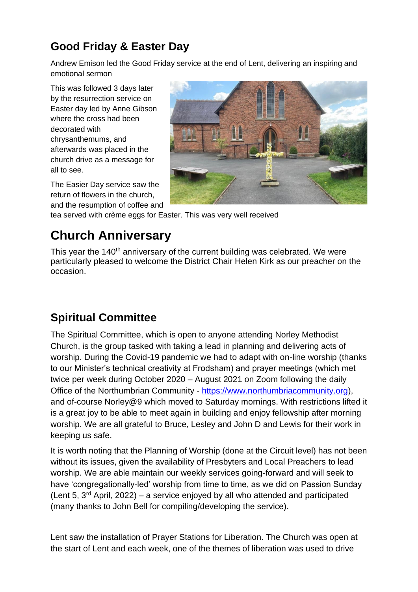### **Good Friday & Easter Day**

Andrew Emison led the Good Friday service at the end of Lent, delivering an inspiring and emotional sermon

This was followed 3 days later by the resurrection service on Easter day led by Anne Gibson where the cross had been decorated with chrysanthemums, and afterwards was placed in the church drive as a message for all to see.

The Easier Day service saw the return of flowers in the church, and the resumption of coffee and



tea served with crème eggs for Easter. This was very well received

### **Church Anniversary**

This year the 140<sup>th</sup> anniversary of the current building was celebrated. We were particularly pleased to welcome the District Chair Helen Kirk as our preacher on the occasion.

### **Spiritual Committee**

The Spiritual Committee, which is open to anyone attending Norley Methodist Church, is the group tasked with taking a lead in planning and delivering acts of worship. During the Covid-19 pandemic we had to adapt with on-line worship (thanks to our Minister's technical creativity at Frodsham) and prayer meetings (which met twice per week during October 2020 – August 2021 on Zoom following the daily Office of the Northumbrian Community - [https://www.northumbriacommunity.org\)](https://www.northumbriacommunity.org/), and of-course Norley@9 which moved to Saturday mornings. With restrictions lifted it is a great joy to be able to meet again in building and enjoy fellowship after morning worship. We are all grateful to Bruce, Lesley and John D and Lewis for their work in keeping us safe.

It is worth noting that the Planning of Worship (done at the Circuit level) has not been without its issues, given the availability of Presbyters and Local Preachers to lead worship. We are able maintain our weekly services going-forward and will seek to have 'congregationally-led' worship from time to time, as we did on Passion Sunday (Lent 5, 3rd April, 2022) – a service enjoyed by all who attended and participated (many thanks to John Bell for compiling/developing the service).

Lent saw the installation of Prayer Stations for Liberation. The Church was open at the start of Lent and each week, one of the themes of liberation was used to drive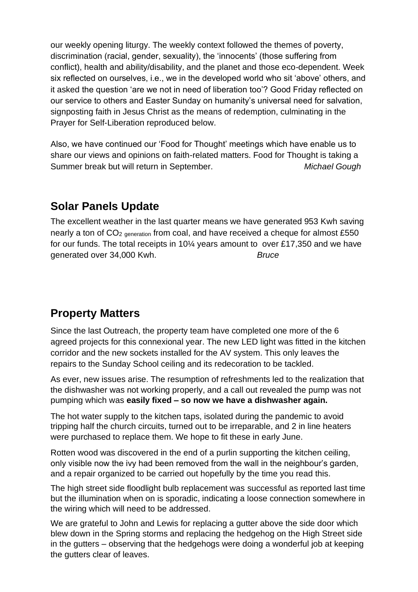our weekly opening liturgy. The weekly context followed the themes of poverty, discrimination (racial, gender, sexuality), the 'innocents' (those suffering from conflict), health and ability/disability, and the planet and those eco-dependent. Week six reflected on ourselves, i.e., we in the developed world who sit 'above' others, and it asked the question 'are we not in need of liberation too'? Good Friday reflected on our service to others and Easter Sunday on humanity's universal need for salvation, signposting faith in Jesus Christ as the means of redemption, culminating in the Prayer for Self-Liberation reproduced below.

Also, we have continued our 'Food for Thought' meetings which have enable us to share our views and opinions on faith-related matters. Food for Thought is taking a Summer break but will return in September. *Michael Gough*

### **Solar Panels Update**

The excellent weather in the last quarter means we have generated 953 Kwh saving nearly a ton of CO<sub>2 generation</sub> from coal, and have received a cheque for almost £550 for our funds. The total receipts in 10¼ years amount to over £17,350 and we have generated over 34,000 Kwh. *Bruce*

### **Property Matters**

Since the last Outreach, the property team have completed one more of the 6 agreed projects for this connexional year. The new LED light was fitted in the kitchen corridor and the new sockets installed for the AV system. This only leaves the repairs to the Sunday School ceiling and its redecoration to be tackled.

As ever, new issues arise. The resumption of refreshments led to the realization that the dishwasher was not working properly, and a call out revealed the pump was not pumping which was **easily fixed – so now we have a dishwasher again.**

The hot water supply to the kitchen taps, isolated during the pandemic to avoid tripping half the church circuits, turned out to be irreparable, and 2 in line heaters were purchased to replace them. We hope to fit these in early June.

Rotten wood was discovered in the end of a purlin supporting the kitchen ceiling, only visible now the ivy had been removed from the wall in the neighbour's garden, and a repair organized to be carried out hopefully by the time you read this.

The high street side floodlight bulb replacement was successful as reported last time but the illumination when on is sporadic, indicating a loose connection somewhere in the wiring which will need to be addressed.

We are grateful to John and Lewis for replacing a gutter above the side door which blew down in the Spring storms and replacing the hedgehog on the High Street side in the gutters – observing that the hedgehogs were doing a wonderful job at keeping the gutters clear of leaves.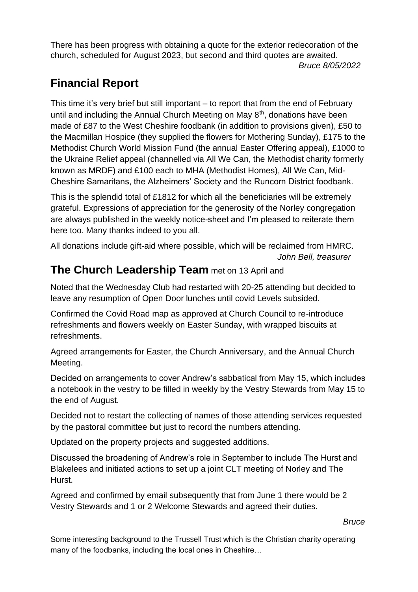There has been progress with obtaining a quote for the exterior redecoration of the church, scheduled for August 2023, but second and third quotes are awaited.

#### *Bruce 8/05/2022*

### **Financial Report**

This time it's very brief but still important – to report that from the end of February until and including the Annual Church Meeting on May  $8<sup>th</sup>$ , donations have been made of £87 to the West Cheshire foodbank (in addition to provisions given), £50 to the Macmillan Hospice (they supplied the flowers for Mothering Sunday), £175 to the Methodist Church World Mission Fund (the annual Easter Offering appeal), £1000 to the Ukraine Relief appeal (channelled via All We Can, the Methodist charity formerly known as MRDF) and £100 each to MHA (Methodist Homes), All We Can, Mid-Cheshire Samaritans, the Alzheimers' Society and the Runcorn District foodbank.

This is the splendid total of £1812 for which all the beneficiaries will be extremely grateful. Expressions of appreciation for the generosity of the Norley congregation are always published in the weekly notice-sheet and I'm pleased to reiterate them here too. Many thanks indeed to you all.

All donations include gift-aid where possible, which will be reclaimed from HMRC. *John Bell, treasurer*

### **The Church Leadership Team** met on 13 April and

Noted that the Wednesday Club had restarted with 20-25 attending but decided to leave any resumption of Open Door lunches until covid Levels subsided.

Confirmed the Covid Road map as approved at Church Council to re-introduce refreshments and flowers weekly on Easter Sunday, with wrapped biscuits at refreshments.

Agreed arrangements for Easter, the Church Anniversary, and the Annual Church Meeting.

Decided on arrangements to cover Andrew's sabbatical from May 15, which includes a notebook in the vestry to be filled in weekly by the Vestry Stewards from May 15 to the end of August.

Decided not to restart the collecting of names of those attending services requested by the pastoral committee but just to record the numbers attending.

Updated on the property projects and suggested additions.

Discussed the broadening of Andrew's role in September to include The Hurst and Blakelees and initiated actions to set up a joint CLT meeting of Norley and The Hurst.

Agreed and confirmed by email subsequently that from June 1 there would be 2 Vestry Stewards and 1 or 2 Welcome Stewards and agreed their duties.

#### *Bruce*

Some interesting background to the Trussell Trust which is the Christian charity operating many of the foodbanks, including the local ones in Cheshire…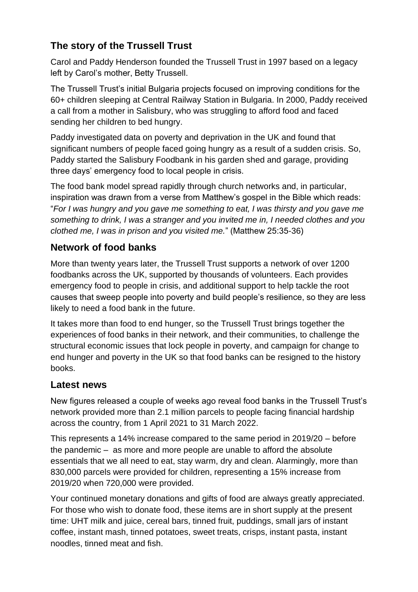### **The story of the Trussell Trust**

Carol and Paddy Henderson founded the Trussell Trust in 1997 based on a legacy left by Carol's mother, Betty Trussell.

The Trussell Trust's initial Bulgaria projects focused on improving conditions for the 60+ children sleeping at Central Railway Station in Bulgaria. In 2000, Paddy received a call from a mother in Salisbury, who was struggling to afford food and faced sending her children to bed hungry.

Paddy investigated data on poverty and deprivation in the UK and found that significant numbers of people faced going hungry as a result of a sudden crisis. So, Paddy started the Salisbury Foodbank in his garden shed and garage, providing three days' emergency food to local people in crisis.

The food bank model spread rapidly through church networks and, in particular, inspiration was drawn from a verse from Matthew's gospel in the Bible which reads: "*For I was hungry and you gave me something to eat, I was thirsty and you gave me something to drink, I was a stranger and you invited me in, I needed clothes and you clothed me, I was in prison and you visited me.*" (Matthew 25:35-36)

### **Network of food banks**

More than twenty years later, the Trussell Trust supports a network of over 1200 foodbanks across the UK, supported by thousands of volunteers. Each provides emergency food to people in crisis, and additional support to help tackle the root causes that sweep people into poverty and build people's resilience, so they are less likely to need a food bank in the future.

It takes more than food to end hunger, so the Trussell Trust brings together the experiences of food banks in their network, and their communities, to challenge the structural economic issues that lock people in poverty, and campaign for change to end hunger and poverty in the UK so that food banks can be resigned to the history books.

### **Latest news**

New figures released a couple of weeks ago reveal food banks in the Trussell Trust's network provided more than 2.1 million parcels to people facing financial hardship across the country, from 1 April 2021 to 31 March 2022.

This represents a 14% increase compared to the same period in 2019/20 – before the pandemic – as more and more people are unable to afford the absolute essentials that we all need to eat, stay warm, dry and clean. Alarmingly, more than 830,000 parcels were provided for children, representing a 15% increase from 2019/20 when 720,000 were provided.

Your continued monetary donations and gifts of food are always greatly appreciated. For those who wish to donate food, these items are in short supply at the present time: UHT milk and juice, cereal bars, tinned fruit, puddings, small jars of instant coffee, instant mash, tinned potatoes, sweet treats, crisps, instant pasta, instant noodles, tinned meat and fish.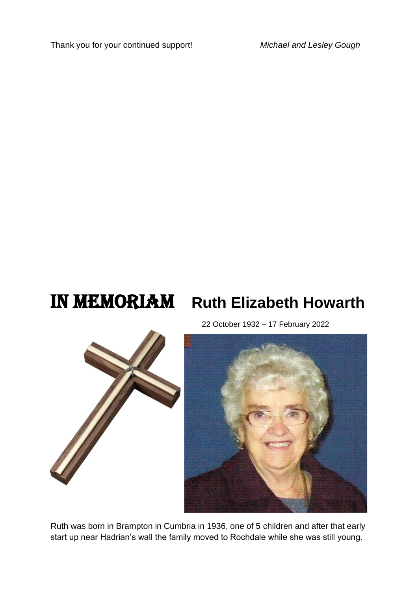Thank you for your continued support! *Michael and Lesley Gough*

## **IN MEMORIAM** Ruth Elizabeth Howarth

22 October 1932 – 17 February 2022





Ruth was born in Brampton in Cumbria in 1936, one of 5 children and after that early start up near Hadrian's wall the family moved to Rochdale while she was still young.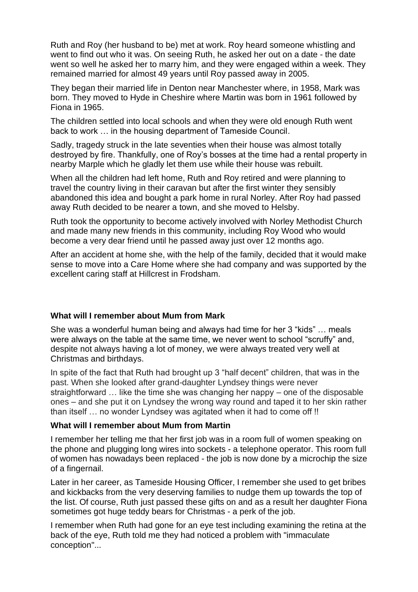Ruth and Roy (her husband to be) met at work. Roy heard someone whistling and went to find out who it was. On seeing Ruth, he asked her out on a date - the date went so well he asked her to marry him, and they were engaged within a week. They remained married for almost 49 years until Roy passed away in 2005.

They began their married life in Denton near Manchester where, in 1958, Mark was born. They moved to Hyde in Cheshire where Martin was born in 1961 followed by Fiona in 1965.

The children settled into local schools and when they were old enough Ruth went back to work … in the housing department of Tameside Council.

Sadly, tragedy struck in the late seventies when their house was almost totally destroyed by fire. Thankfully, one of Roy's bosses at the time had a rental property in nearby Marple which he gladly let them use while their house was rebuilt.

When all the children had left home, Ruth and Roy retired and were planning to travel the country living in their caravan but after the first winter they sensibly abandoned this idea and bought a park home in rural Norley. After Roy had passed away Ruth decided to be nearer a town, and she moved to Helsby.

Ruth took the opportunity to become actively involved with Norley Methodist Church and made many new friends in this community, including Roy Wood who would become a very dear friend until he passed away just over 12 months ago.

After an accident at home she, with the help of the family, decided that it would make sense to move into a Care Home where she had company and was supported by the excellent caring staff at Hillcrest in Frodsham.

#### **What will I remember about Mum from Mark**

She was a wonderful human being and always had time for her 3 "kids" … meals were always on the table at the same time, we never went to school "scruffy" and, despite not always having a lot of money, we were always treated very well at Christmas and birthdays.

In spite of the fact that Ruth had brought up 3 "half decent" children, that was in the past. When she looked after grand-daughter Lyndsey things were never straightforward … like the time she was changing her nappy – one of the disposable ones – and she put it on Lyndsey the wrong way round and taped it to her skin rather than itself … no wonder Lyndsey was agitated when it had to come off !!

#### **What will I remember about Mum from Martin**

I remember her telling me that her first job was in a room full of women speaking on the phone and plugging long wires into sockets - a telephone operator. This room full of women has nowadays been replaced - the job is now done by a microchip the size of a fingernail.

Later in her career, as Tameside Housing Officer, I remember she used to get bribes and kickbacks from the very deserving families to nudge them up towards the top of the list. Of course, Ruth just passed these gifts on and as a result her daughter Fiona sometimes got huge teddy bears for Christmas - a perk of the job.

I remember when Ruth had gone for an eye test including examining the retina at the back of the eye, Ruth told me they had noticed a problem with "immaculate conception"...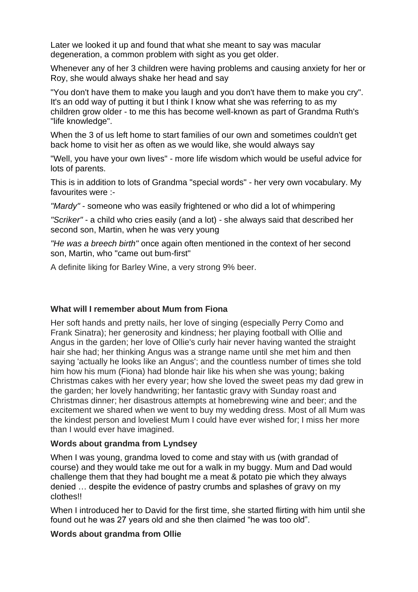Later we looked it up and found that what she meant to say was macular degeneration, a common problem with sight as you get older.

Whenever any of her 3 children were having problems and causing anxiety for her or Roy, she would always shake her head and say

"You don't have them to make you laugh and you don't have them to make you cry". It's an odd way of putting it but I think I know what she was referring to as my children grow older - to me this has become well-known as part of Grandma Ruth's "life knowledge".

When the 3 of us left home to start families of our own and sometimes couldn't get back home to visit her as often as we would like, she would always say

"Well, you have your own lives" - more life wisdom which would be useful advice for lots of parents.

This is in addition to lots of Grandma "special words" - her very own vocabulary. My favourites were :-

*"Mardy"* - someone who was easily frightened or who did a lot of whimpering

*"Scriker"* - a child who cries easily (and a lot) - she always said that described her second son, Martin, when he was very young

*"He was a breech birth"* once again often mentioned in the context of her second son, Martin, who "came out bum-first"

A definite liking for Barley Wine, a very strong 9% beer.

#### **What will I remember about Mum from Fiona**

Her soft hands and pretty nails, her love of singing (especially Perry Como and Frank Sinatra); her generosity and kindness; her playing football with Ollie and Angus in the garden; her love of Ollie's curly hair never having wanted the straight hair she had; her thinking Angus was a strange name until she met him and then saying 'actually he looks like an Angus'; and the countless number of times she told him how his mum (Fiona) had blonde hair like his when she was young; baking Christmas cakes with her every year; how she loved the sweet peas my dad grew in the garden; her lovely handwriting; her fantastic gravy with Sunday roast and Christmas dinner; her disastrous attempts at homebrewing wine and beer; and the excitement we shared when we went to buy my wedding dress. Most of all Mum was the kindest person and loveliest Mum I could have ever wished for; I miss her more than I would ever have imagined.

#### **Words about grandma from Lyndsey**

When I was young, grandma loved to come and stay with us (with grandad of course) and they would take me out for a walk in my buggy. Mum and Dad would challenge them that they had bought me a meat & potato pie which they always denied … despite the evidence of pastry crumbs and splashes of gravy on my clothes!!

When I introduced her to David for the first time, she started flirting with him until she found out he was 27 years old and she then claimed "he was too old".

#### **Words about grandma from Ollie**